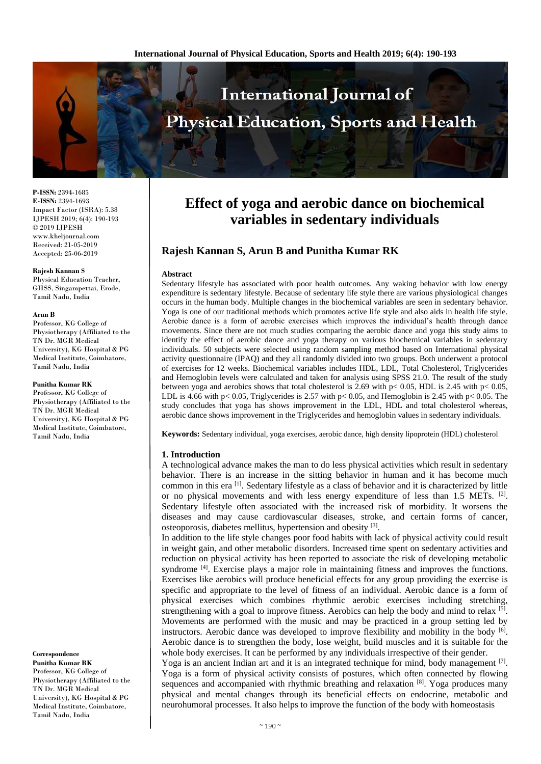

**P-ISSN:** 2394-1685 **E-ISSN:** 2394-1693 Impact Factor (ISRA): 5.38 IJPESH 2019; 6(4): 190-193 © 2019 IJPESH www.kheljournal.com Received: 21-05-2019 Accepted: 25-06-2019

**Rajesh Kannan S** Physical Education Teacher, GHSS, Singampettai, Erode, Tamil Nadu, India

#### **Arun B**

Professor, KG College of Physiotherapy (Affiliated to the TN Dr. MGR Medical University), KG Hospital & PG Medical Institute, Coimbatore, Tamil Nadu, India

#### **Punitha Kumar RK**

Professor, KG College of Physiotherapy (Affiliated to the TN Dr. MGR Medical University), KG Hospital & PG Medical Institute, Coimbatore, Tamil Nadu, India

**Correspondence Punitha Kumar RK** Professor, KG College of Physiotherapy (Affiliated to the TN Dr. MGR Medical University), KG Hospital & PG Medical Institute, Coimbatore, Tamil Nadu, India

# **Effect of yoga and aerobic dance on biochemical variables in sedentary individuals**

## **Rajesh Kannan S, Arun B and Punitha Kumar RK**

#### **Abstract**

Sedentary lifestyle has associated with poor health outcomes. Any waking behavior with low energy expenditure is sedentary lifestyle. Because of sedentary life style there are various physiological changes occurs in the human body. Multiple changes in the biochemical variables are seen in sedentary behavior. Yoga is one of our traditional methods which promotes active life style and also aids in health life style. Aerobic dance is a form of aerobic exercises which improves the individual's health through dance movements. Since there are not much studies comparing the aerobic dance and yoga this study aims to identify the effect of aerobic dance and yoga therapy on various biochemical variables in sedentary individuals. 50 subjects were selected using random sampling method based on International physical activity questionnaire (IPAQ) and they all randomly divided into two groups. Both underwent a protocol of exercises for 12 weeks. Biochemical variables includes HDL, LDL, Total Cholesterol, Triglycerides and Hemoglobin levels were calculated and taken for analysis using SPSS 21.0. The result of the study between yoga and aerobics shows that total cholesterol is 2.69 with p< 0.05, HDL is 2.45 with p< 0.05, LDL is 4.66 with p< 0.05, Triglycerides is 2.57 with p< 0.05, and Hemoglobin is 2.45 with p< 0.05. The study concludes that yoga has shows improvement in the LDL, HDL and total cholesterol whereas, aerobic dance shows improvement in the Triglycerides and hemoglobin values in sedentary individuals.

**Keywords:** Sedentary individual, yoga exercises, aerobic dance, high density lipoprotein (HDL) cholesterol

#### **1. Introduction**

A technological advance makes the man to do less physical activities which result in sedentary behavior. There is an increase in the sitting behavior in human and it has become much common in this era <sup>[1]</sup>. Sedentary lifestyle as a class of behavior and it is characterized by little or no physical movements and with less energy expenditure of less than 1.5 METs. <sup>[2]</sup>. Sedentary lifestyle often associated with the increased risk of morbidity. It worsens the diseases and may cause cardiovascular diseases, stroke, and certain forms of cancer, osteoporosis, diabetes mellitus, hypertension and obesity [3].

In addition to the life style changes poor food habits with lack of physical activity could result in weight gain, and other metabolic disorders. Increased time spent on sedentary activities and reduction on physical activity has been reported to associate the risk of developing metabolic syndrome <sup>[4]</sup>. Exercise plays a major role in maintaining fitness and improves the functions. Exercises like aerobics will produce beneficial effects for any group providing the exercise is specific and appropriate to the level of fitness of an individual. Aerobic dance is a form of physical exercises which combines rhythmic aerobic exercises including stretching, strengthening with a goal to improve fitness. Aerobics can help the body and mind to relax  $[5]$ . Movements are performed with the music and may be practiced in a group setting led by instructors. Aerobic dance was developed to improve flexibility and mobility in the body [6]. Aerobic dance is to strengthen the body, lose weight, build muscles and it is suitable for the whole body exercises. It can be performed by any individuals irrespective of their gender.

Yoga is an ancient Indian art and it is an integrated technique for mind, body management <sup>[7]</sup>. Yoga is a form of physical activity consists of postures, which often connected by flowing sequences and accompanied with rhythmic breathing and relaxation  $[8]$ . Yoga produces many physical and mental changes through its beneficial effects on endocrine, metabolic and neurohumoral processes. It also helps to improve the function of the body with homeostasis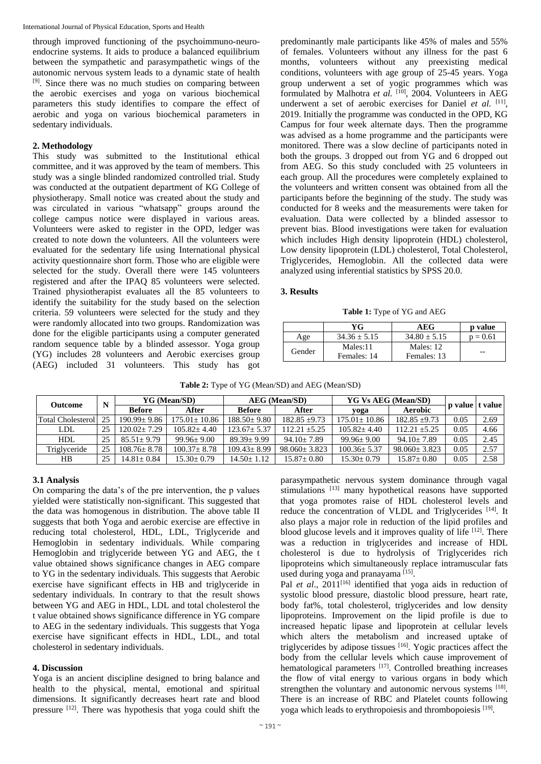International Journal of Physical Education, Sports and Health

through improved functioning of the psychoimmuno-neuroendocrine systems. It aids to produce a balanced equilibrium between the sympathetic and parasympathetic wings of the autonomic nervous system leads to a dynamic state of health [9]. Since there was no much studies on comparing between the aerobic exercises and yoga on various biochemical parameters this study identifies to compare the effect of aerobic and yoga on various biochemical parameters in sedentary individuals.

#### **2. Methodology**

This study was submitted to the Institutional ethical committee, and it was approved by the team of members. This study was a single blinded randomized controlled trial. Study was conducted at the outpatient department of KG College of physiotherapy. Small notice was created about the study and was circulated in various "whatsapp" groups around the college campus notice were displayed in various areas. Volunteers were asked to register in the OPD, ledger was created to note down the volunteers. All the volunteers were evaluated for the sedentary life using International physical activity questionnaire short form. Those who are eligible were selected for the study. Overall there were 145 volunteers registered and after the IPAQ 85 volunteers were selected. Trained physiotherapist evaluates all the 85 volunteers to identify the suitability for the study based on the selection criteria. 59 volunteers were selected for the study and they were randomly allocated into two groups. Randomization was done for the eligible participants using a computer generated random sequence table by a blinded assessor. Yoga group (YG) includes 28 volunteers and Aerobic exercises group (AEG) included 31 volunteers. This study has got predominantly male participants like 45% of males and 55% of females. Volunteers without any illness for the past 6 months, volunteers without any preexisting medical conditions, volunteers with age group of 25-45 years. Yoga group underwent a set of yogic programmes which was formulated by Malhotra et al. <sup>[10]</sup>, 2004. Volunteers in AEG underwent a set of aerobic exercises for Daniel et al. <sup>[11]</sup>, 2019. Initially the programme was conducted in the OPD, KG Campus for four week alternate days. Then the programme was advised as a home programme and the participants were monitored. There was a slow decline of participants noted in both the groups. 3 dropped out from YG and 6 dropped out from AEG. So this study concluded with 25 volunteers in each group. All the procedures were completely explained to the volunteers and written consent was obtained from all the participants before the beginning of the study. The study was conducted for 8 weeks and the measurements were taken for evaluation. Data were collected by a blinded assessor to prevent bias. Blood investigations were taken for evaluation which includes High density lipoprotein (HDL) cholesterol, Low density lipoprotein (LDL) cholesterol, Total Cholesterol, Triglycerides, Hemoglobin. All the collected data were analyzed using inferential statistics by SPSS 20.0.

#### **3. Results**

**Table 1:** Type of YG and AEG

|        | YG             | AEG            | p value    |
|--------|----------------|----------------|------------|
| Age    | $34.36 + 5.15$ | $34.80 + 5.15$ | $p = 0.61$ |
| Gender | Males:11       | Males: 12      |            |
|        | Females: 14    | Females: 13    | --         |

|  | Table 2: Type of YG (Mean/SD) and AEG (Mean/SD) |
|--|-------------------------------------------------|
|--|-------------------------------------------------|

| <b>Outcome</b>      | N  | YG (Mean/SD)    |                 | <b>AEG</b> (Mean/SD) |                  | <b>YG Vs AEG (Mean/SD)</b> |                  | <b>p</b> value | e   t value |
|---------------------|----|-----------------|-----------------|----------------------|------------------|----------------------------|------------------|----------------|-------------|
|                     |    | <b>Before</b>   | After           | <b>Before</b>        | After            | yoga                       | Aerobic          |                |             |
| Total Cholesterol I | 25 | $190.99 + 9.86$ | $75.01 + 10.86$ | $188.50 + 9.80$      | $182.85 + 9.73$  | $175.01 + 10.86$           | $182.85 + 9.73$  | 0.05           | 2.69        |
| <b>LDL</b>          | 25 | $120.02 + 7.29$ | $105.82 + 4.40$ | $123.67 \pm 5.37$    | $12.21 + 5.25$   | $105.82 + 4.40$            | $112.21 + 5.25$  | 0.05           | 4.66        |
| <b>HDL</b>          | 25 | $85.51 + 9.79$  | $99.96 + 9.00$  | $89.39 + 9.99$       | $94.10 + 7.89$   | $99.96 + 9.00$             | $94.10 + 7.89$   | 0.05           | 2.45        |
| Triglyceride        | 25 | $108.76 + 8.78$ | $100.37 + 8.78$ | $109.43 + 8.99$      | $98.060 + 3.823$ | $100.36 + 5.37$            | $98.060 + 3.823$ | 0.05           | 2.57        |
| HВ                  | 25 | $14.81 + 0.84$  | $15.30 + 0.79$  | $14.50 \pm 1.12$     | $15.87 \pm 0.80$ | $15.30 + 0.79$             | $15.87 \pm 0.80$ | 0.05           | 2.58        |

## **3.1 Analysis**

On comparing the data's of the pre intervention, the p values yielded were statistically non-significant. This suggested that the data was homogenous in distribution. The above table II suggests that both Yoga and aerobic exercise are effective in reducing total cholesterol, HDL, LDL, Triglyceride and Hemoglobin in sedentary individuals. While comparing Hemoglobin and triglyceride between YG and AEG, the t value obtained shows significance changes in AEG compare to YG in the sedentary individuals. This suggests that Aerobic exercise have significant effects in HB and triglyceride in sedentary individuals. In contrary to that the result shows between YG and AEG in HDL, LDL and total cholesterol the t value obtained shows significance difference in YG compare to AEG in the sedentary individuals. This suggests that Yoga exercise have significant effects in HDL, LDL, and total cholesterol in sedentary individuals.

## **4. Discussion**

Yoga is an ancient discipline designed to bring balance and health to the physical, mental, emotional and spiritual dimensions. It significantly decreases heart rate and blood pressure <sup>[12]</sup>. There was hypothesis that yoga could shift the parasympathetic nervous system dominance through vagal stimulations [13] many hypothetical reasons have supported that yoga promotes raise of HDL cholesterol levels and reduce the concentration of VLDL and Triglycerides [14]. It also plays a major role in reduction of the lipid profiles and blood glucose levels and it improves quality of life  $[12]$ . There was a reduction in triglycerides and increase of HDL cholesterol is due to hydrolysis of Triglycerides rich lipoproteins which simultaneously replace intramuscular fats used during yoga and pranayama<sup>[15]</sup>.

Pal *et al.*, 2011<sup>[16]</sup> identified that yoga aids in reduction of systolic blood pressure, diastolic blood pressure, heart rate, body fat%, total cholesterol, triglycerides and low density lipoproteins. Improvement on the lipid profile is due to increased hepatic lipase and lipoprotein at cellular levels which alters the metabolism and increased uptake of triglycerides by adipose tissues [16] . Yogic practices affect the body from the cellular levels which cause improvement of hematological parameters [17]. Controlled breathing increases the flow of vital energy to various organs in body which strengthen the voluntary and autonomic nervous systems [18]. There is an increase of RBC and Platelet counts following yoga which leads to erythropoiesis and thrombopoiesis [19].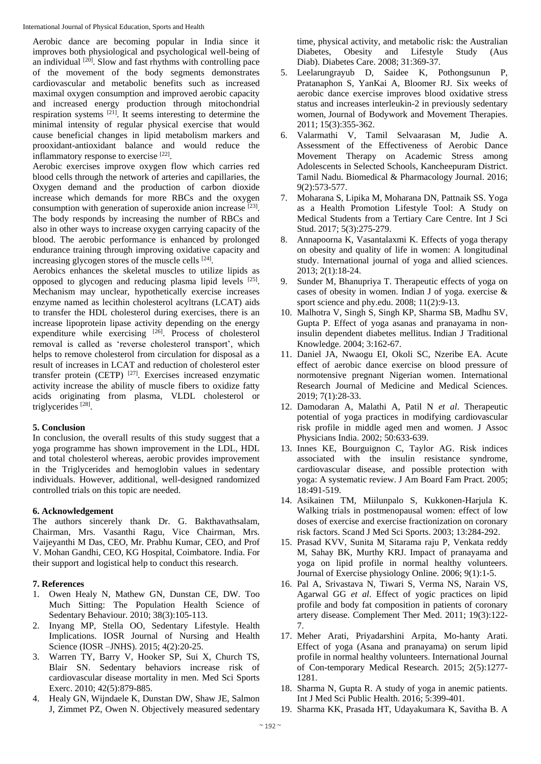Aerobic dance are becoming popular in India since it improves both physiological and psychological well-being of an individual  $[20]$ . Slow and fast rhythms with controlling pace of the movement of the body segments demonstrates cardiovascular and metabolic benefits such as increased maximal oxygen consumption and improved aerobic capacity and increased energy production through mitochondrial respiration systems [21] . It seems interesting to determine the minimal intensity of regular physical exercise that would cause beneficial changes in lipid metabolism markers and prooxidant-antioxidant balance and would reduce the inflammatory response to exercise [22].

Aerobic exercises improve oxygen flow which carries red blood cells through the network of arteries and capillaries, the Oxygen demand and the production of carbon dioxide increase which demands for more RBCs and the oxygen consumption with generation of superoxide anion increase [23]. The body responds by increasing the number of RBCs and also in other ways to increase oxygen carrying capacity of the blood. The aerobic performance is enhanced by prolonged endurance training through improving oxidative capacity and increasing glycogen stores of the muscle cells [24].

Aerobics enhances the skeletal muscles to utilize lipids as opposed to glycogen and reducing plasma lipid levels [25]. Mechanism may unclear, hypothetically exercise increases enzyme named as lecithin cholesterol acyltrans (LCAT) aids to transfer the HDL cholesterol during exercises, there is an increase lipoprotein lipase activity depending on the energy expenditure while exercising [26]. Process of cholesterol removal is called as 'reverse cholesterol transport', which helps to remove cholesterol from circulation for disposal as a result of increases in LCAT and reduction of cholesterol ester transfer protein (CETP)<sup>[27]</sup>. Exercises increased enzymatic activity increase the ability of muscle fibers to oxidize fatty acids originating from plasma, VLDL cholesterol or triglycerides<sup>[28]</sup>.

## **5. Conclusion**

In conclusion, the overall results of this study suggest that a yoga programme has shown improvement in the LDL, HDL and total cholesterol whereas, aerobic provides improvement in the Triglycerides and hemoglobin values in sedentary individuals. However, additional, well-designed randomized controlled trials on this topic are needed.

## **6. Acknowledgement**

The authors sincerely thank Dr. G. Bakthavathsalam, Chairman, Mrs. Vasanthi Ragu, Vice Chairman, Mrs. Vaijeyanthi M Das, CEO, Mr. Prabhu Kumar, CEO, and Prof V. Mohan Gandhi, CEO, KG Hospital, Coimbatore. India. For their support and logistical help to conduct this research.

#### **7. References**

- 1. Owen Healy N, Mathew GN, Dunstan CE, DW. Too Much Sitting: The Population Health Science of Sedentary Behaviour. 2010; 38(3):105-113.
- 2. Inyang MP, Stella OO, Sedentary Lifestyle. Health Implications. IOSR Journal of Nursing and Health Science (IOSR –JNHS). 2015; 4(2):20-25.
- 3. Warren TY, Barry V, Hooker SP, Sui X, Church TS, Blair SN. Sedentary behaviors increase risk of cardiovascular disease mortality in men. Med Sci Sports Exerc. 2010; 42(5):879-885.
- 4. Healy GN, Wijndaele K, Dunstan DW, Shaw JE, Salmon J, Zimmet PZ, Owen N. Objectively measured sedentary

time, physical activity, and metabolic risk: the Australian Diabetes, Obesity and Lifestyle Study (Aus Diab). Diabetes Care. 2008; 31:369-37.

- 5. Leelarungrayub D, Saidee K, Pothongsunun P, Pratanaphon S, YanKai A, Bloomer RJ. Six weeks of aerobic dance exercise improves blood oxidative stress status and increases interleukin-2 in previously sedentary women, Journal of Bodywork and Movement Therapies. 2011; 15(3):355-362.
- 6. Valarmathi V, Tamil Selvaarasan M, Judie A. Assessment of the Effectiveness of Aerobic Dance Movement Therapy on Academic Stress among Adolescents in Selected Schools, Kancheepuram District. Tamil Nadu. Biomedical & Pharmacology Journal. 2016; 9(2):573-577.
- 7. Moharana S, Lipika M, Moharana DN, Pattnaik SS. Yoga as a Health Promotion Lifestyle Tool: A Study on Medical Students from a Tertiary Care Centre. Int J Sci Stud. 2017; 5(3):275-279.
- 8. Annapoorna K, Vasantalaxmi K. Effects of yoga therapy on obesity and quality of life in women: A longitudinal study. International journal of yoga and allied sciences. 2013; 2(1):18-24.
- 9. Sunder M, Bhanupriya T. Therapeutic effects of yoga on cases of obesity in women. Indian J of yoga. exercise & sport science and phy.edu. 2008; 11(2):9-13.
- 10. Malhotra V, Singh S, Singh KP, Sharma SB, Madhu SV, Gupta P. Effect of yoga asanas and pranayama in noninsulin dependent diabetes mellitus. Indian J Traditional Knowledge. 2004; 3:162-67.
- 11. Daniel JA, Nwaogu EI, Okoli SC, Nzeribe EA. Acute effect of aerobic dance exercise on blood pressure of normotensive pregnant Nigerian women. International Research Journal of Medicine and Medical Sciences. 2019; 7(1):28-33.
- 12. Damodaran A, Malathi A, Patil N *et al*. Therapeutic potential of yoga practices in modifying cardiovascular risk profile in middle aged men and women. J Assoc Physicians India. 2002; 50:633-639.
- 13. Innes KE, Bourguignon C, Taylor AG. Risk indices associated with the insulin resistance syndrome, cardiovascular disease, and possible protection with yoga: A systematic review. J Am Board Fam Pract. 2005; 18:491-519.
- 14. Asikainen TM, Miilunpalo S, Kukkonen-Harjula K. Walking trials in postmenopausal women: effect of low doses of exercise and exercise fractionization on coronary risk factors. Scand J Med Sci Sports. 2003; 13:284-292.
- 15. Prasad KVV, Sunita M, Sitarama raju P, Venkata reddy M, Sahay BK, Murthy KRJ. Impact of pranayama and yoga on lipid profile in normal healthy volunteers. Journal of Exercise physiology Online. 2006; 9(1):1-5.
- 16. Pal A, Srivastava N, Tiwari S, Verma NS, Narain VS, Agarwal GG *et al*. Effect of yogic practices on lipid profile and body fat composition in patients of coronary artery disease. Complement Ther Med. 2011; 19(3):122- 7.
- 17. Meher Arati, Priyadarshini Arpita, Mo-hanty Arati. Effect of yoga (Asana and pranayama) on serum lipid profile in normal healthy volunteers. International Journal of Con-temporary Medical Research. 2015; 2(5):1277- 1281.
- 18. Sharma N, Gupta R. A study of yoga in anemic patients. Int J Med Sci Public Health. 2016; 5:399-401.
- 19. Sharma KK, Prasada HT, Udayakumara K, Savitha B. A